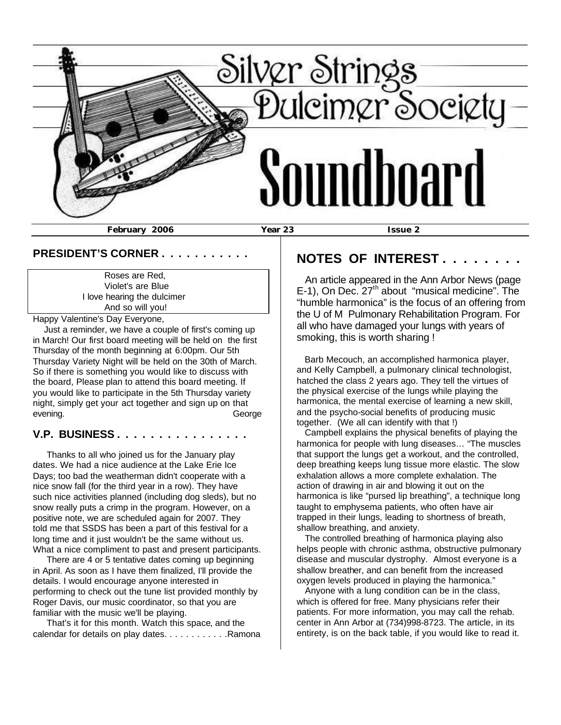

## **PRESIDENT'S CORNER . . . . . . . . . . .**

 Roses are Red, Violet's are Blue I love hearing the dulcimer And so will you!

Happy Valentine's Day Everyone,

 Just a reminder, we have a couple of first's coming up in March! Our first board meeting will be held on the first Thursday of the month beginning at 6:00pm. Our 5th Thursday Variety Night will be held on the 30th of March. So if there is something you would like to discuss with the board, Please plan to attend this board meeting. If you would like to participate in the 5th Thursday variety night, simply get your act together and sign up on that evening. **George** 

## **V.P. BUSINESS . . . . . . . . . . . . . . . .**

 Thanks to all who joined us for the January play dates. We had a nice audience at the Lake Erie Ice Days; too bad the weatherman didn't cooperate with a nice snow fall (for the third year in a row). They have such nice activities planned (including dog sleds), but no snow really puts a crimp in the program. However, on a positive note, we are scheduled again for 2007. They told me that SSDS has been a part of this festival for a long time and it just wouldn't be the same without us. What a nice compliment to past and present participants.

 There are 4 or 5 tentative dates coming up beginning in April. As soon as I have them finalized, I'll provide the details. I would encourage anyone interested in performing to check out the tune list provided monthly by Roger Davis, our music coordinator, so that you are familiar with the music we'll be playing.

 That's it for this month. Watch this space, and the calendar for details on play dates. . . . . . . . . . . . Ramona

# **NOTES OF INTEREST.**

 An article appeared in the Ann Arbor News (page  $E-1$ ), On Dec.  $27<sup>th</sup>$  about "musical medicine". The "humble harmonica" is the focus of an offering from the U of M Pulmonary Rehabilitation Program. For all who have damaged your lungs with years of smoking, this is worth sharing !

 Barb Mecouch, an accomplished harmonica player, and Kelly Campbell, a pulmonary clinical technologist, hatched the class 2 years ago. They tell the virtues of the physical exercise of the lungs while playing the harmonica, the mental exercise of learning a new skill, and the psycho-social benefits of producing music together. (We all can identify with that !)

 Campbell explains the physical benefits of playing the harmonica for people with lung diseases… "The muscles that support the lungs get a workout, and the controlled, deep breathing keeps lung tissue more elastic. The slow exhalation allows a more complete exhalation. The action of drawing in air and blowing it out on the harmonica is like "pursed lip breathing", a technique long taught to emphysema patients, who often have air trapped in their lungs, leading to shortness of breath, shallow breathing, and anxiety.

 The controlled breathing of harmonica playing also helps people with chronic asthma, obstructive pulmonary disease and muscular dystrophy. Almost everyone is a shallow breather, and can benefit from the increased oxygen levels produced in playing the harmonica."

 Anyone with a lung condition can be in the class, which is offered for free. Many physicians refer their patients. For more information, you may call the rehab. center in Ann Arbor at (734)998-8723. The article, in its entirety, is on the back table, if you would like to read it.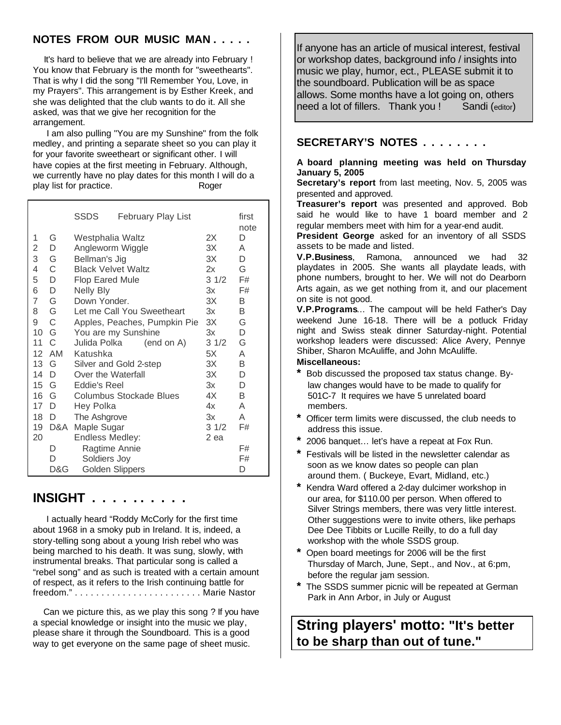# **NOTES FROM OUR MUSIC MAN . . . . .**

 It's hard to believe that we are already into February ! You know that February is the month for "sweethearts". That is why I did the song "I'll Remember You, Love, in my Prayers". This arrangement is by Esther Kreek, and she was delighted that the club wants to do it. All she asked, was that we give her recognition for the arrangement.

 I am also pulling "You are my Sunshine" from the folk medley, and printing a separate sheet so you can play it for your favorite sweetheart or significant other. I will have copies at the first meeting in February. Although, we currently have no play dates for this month I will do a play list for practice. The Roger

|                 |              | SSDS                                 | <b>February Play List</b> |      | first<br>note |
|-----------------|--------------|--------------------------------------|---------------------------|------|---------------|
| 1               | G            | Westphalia Waltz                     | 2X                        | D    |               |
| 2               | D            | Angleworm Wiggle                     |                           | 3X   | A             |
| 3               | G            | Bellman's Jig                        |                           | 3X   | D             |
| 4               | C            | <b>Black Velvet Waltz</b>            |                           | 2x   | G             |
| 5               | D            | <b>Flop Eared Mule</b>               | 31/2                      | F#   |               |
| 6               | D            | <b>Nelly Bly</b>                     | 3x                        | F#   |               |
| 7               | G            | Down Yonder.                         | 3X                        | B    |               |
| 8               | G            | Let me Call You Sweetheart           | Зx                        | B    |               |
| 9               | C            | Apples, Peaches, Pumpkin Pie         | ЗX                        | G    |               |
| 10 G            |              | You are my Sunshine                  | 3x                        | D    |               |
| 11              | C            | Julida Polka                         | (end on A)                | 31/2 | G             |
| 12 <sup>2</sup> | AM           | Katushka                             |                           | 5X   | A             |
| 13              | G            | 3X<br>Silver and Gold 2-step         |                           |      | B             |
| 14              | D            | Over the Waterfall<br>ЗX             |                           |      | D             |
| 15              | G            | Зx<br>Eddie's Reel                   |                           | D    |               |
| 16              | G            | 4X<br><b>Columbus Stockade Blues</b> |                           | B    |               |
| 17              | D            | Hey Polka                            |                           | 4x   | A             |
| 18              | <sup>D</sup> | The Ashgrove                         |                           | 3x   | A             |
| 19              | D&A          | Maple Sugar                          |                           | 31/2 | F#            |
| 20              |              | Endless Medley:                      |                           | 2 ea |               |
|                 | D            | Ragtime Annie                        |                           |      | F#            |
|                 | D            | Soldiers Joy                         |                           |      | F#            |
|                 | D&G          | <b>Golden Slippers</b>               |                           |      | D             |

# **INSIGHT . . . . . . . . . .**

 I actually heard "Roddy McCorly for the first time about 1968 in a smoky pub in Ireland. It is, indeed, a story-telling song about a young Irish rebel who was being marched to his death. It was sung, slowly, with instrumental breaks. That particular song is called a "rebel song" and as such is treated with a certain amount of respect, as it refers to the Irish continuing battle for freedom." . . . . . . . . . . . . . . . . . . . . . . . . Marie Nastor

 Can we picture this, as we play this song ? If you have a special knowledge or insight into the music we play, please share it through the Soundboard. This is a good way to get everyone on the same page of sheet music.

If anyone has an article of musical interest, festival or workshop dates, background info / insights into music we play, humor, ect., PLEASE submit it to the soundboard. Publication will be as space allows. Some months have a lot going on, others need a lot of fillers. Thank you ! Sandi (editor)

## **SECRETARY'S NOTES . . . . . . . .**

#### **A board planning meeting was held on Thursday January 5, 2005**

**Secretary's report** from last meeting, Nov. 5, 2005 was presented and approved.

**Treasurer's report** was presented and approved. Bob said he would like to have 1 board member and 2 regular members meet with him for a year-end audit.

**President George** asked for an inventory of all SSDS assets to be made and listed.

**V.P.Business**, Ramona, announced we had 32 playdates in 2005. She wants all playdate leads, with phone numbers, brought to her. We will not do Dearborn Arts again, as we get nothing from it, and our placement on site is not good.

**V.P.Programs**… The campout will be held Father's Day weekend June 16-18. There will be a potluck Friday night and Swiss steak dinner Saturday-night. Potential workshop leaders were discussed: Alice Avery, Pennye Shiber, Sharon McAuliffe, and John McAuliffe.

#### **Miscellaneous:**

- **\*** Bob discussed the proposed tax status change. By law changes would have to be made to qualify for 501C-7 It requires we have 5 unrelated board members.
- **\*** Officer term limits were discussed, the club needs to address this issue.
- **\*** 2006 banquet… let's have a repeat at Fox Run.
- **\*** Festivals will be listed in the newsletter calendar as soon as we know dates so people can plan around them. ( Buckeye, Evart, Midland, etc.)
- **\*** Kendra Ward offered a 2-day dulcimer workshop in our area, for \$110.00 per person. When offered to Silver Strings members, there was very little interest. Other suggestions were to invite others, like perhaps Dee Dee Tibbits or Lucille Reilly, to do a full day workshop with the whole SSDS group.
- **\*** Open board meetings for 2006 will be the first Thursday of March, June, Sept., and Nov., at 6:pm, before the regular jam session.
- **\*** The SSDS summer picnic will be repeated at German Park in Ann Arbor, in July or August

**String players' motto: "It's better to be sharp than out of tune."**